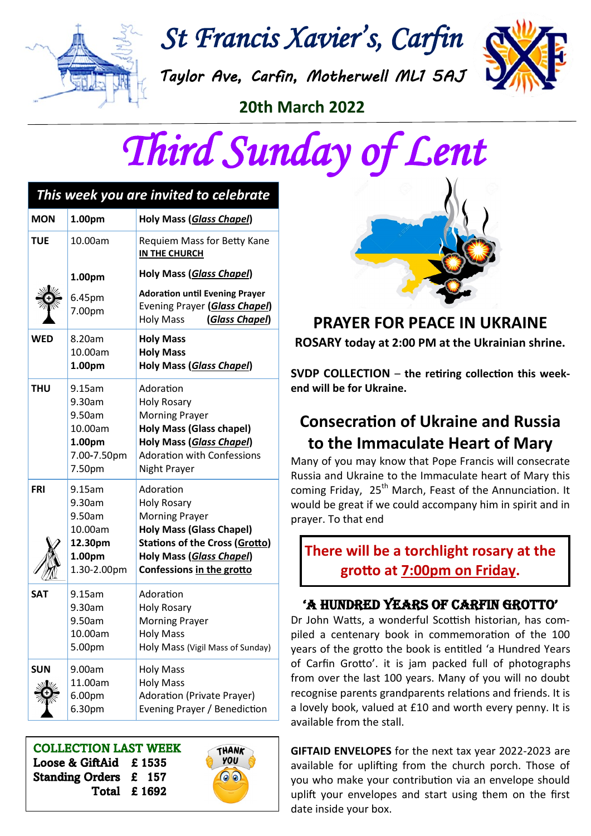

*St Francis Xavier's, Carfin* 

*Taylor Ave, Carfin, Motherwell ML1 5AJ* 



**20th March 2022** 



| This week you are invited to celebrate |                                                                             |                                                                                                                                                                                               |
|----------------------------------------|-----------------------------------------------------------------------------|-----------------------------------------------------------------------------------------------------------------------------------------------------------------------------------------------|
| <b>MON</b>                             | 1.00pm                                                                      | Holy Mass (Glass Chapel)                                                                                                                                                                      |
| <b>TUE</b>                             | 10.00am                                                                     | Requiem Mass for Betty Kane<br><b>IN THE CHURCH</b>                                                                                                                                           |
|                                        | 1.00pm                                                                      | Holy Mass (Glass Chapel)                                                                                                                                                                      |
|                                        | 6.45pm<br>7.00pm                                                            | <b>Adoration until Evening Prayer</b><br>Evening Prayer (Glass Chapel)<br><b>Holy Mass</b><br>(Glass Chapel)                                                                                  |
| <b>WED</b>                             | 8.20am<br>10.00am<br>1.00pm                                                 | <b>Holy Mass</b><br><b>Holy Mass</b><br>Holy Mass (Glass Chapel)                                                                                                                              |
| <b>THU</b>                             | $9.15$ am<br>9.30am<br>9.50am<br>10.00am<br>1.00pm<br>7.00-7.50pm<br>7.50pm | Adoration<br><b>Holy Rosary</b><br><b>Morning Prayer</b><br><b>Holy Mass (Glass chapel)</b><br>Holy Mass (Glass Chapel)<br><b>Adoration with Confessions</b><br>Night Prayer                  |
| <b>FRI</b>                             | 9.15am<br>9.30am<br>9.50am<br>10.00am<br>12.30pm<br>1.00pm<br>1.30-2.00pm   | Adoration<br><b>Holy Rosary</b><br><b>Morning Prayer</b><br><b>Holy Mass (Glass Chapel)</b><br><b>Stations of the Cross (Grotto)</b><br>Holy Mass (Glass Chapel)<br>Confessions in the grotto |
| <b>SAT</b>                             | 9.15am<br>9.30am<br>9.50am<br>10.00am<br>5.00pm                             | Adoration<br><b>Holy Rosary</b><br><b>Morning Prayer</b><br>Holy Mass<br>Holy Mass (Vigil Mass of Sunday)                                                                                     |
| <b>SUN</b>                             | 9.00am<br>11.00am<br>6.00pm<br>6.30pm                                       | <b>Holy Mass</b><br><b>Holy Mass</b><br><b>Adoration (Private Prayer)</b><br>Evening Prayer / Benediction                                                                                     |

COLLECTION LAST WEEK Loose & GiftAid £ 1535 Standing Orders £ 157 Total £ 1692





## **PRAYER FOR PEACE IN UKRAINE**

**ROSARY today at 2:00 PM at the Ukrainian shrine.**

**SVDP COLLECTION** – **the retiring collection this weekend will be for Ukraine.**

## **Consecration of Ukraine and Russia to the Immaculate Heart of Mary**

Many of you may know that Pope Francis will consecrate Russia and Ukraine to the Immaculate heart of Mary this coming Friday, 25<sup>th</sup> March, Feast of the Annunciation. It would be great if we could accompany him in spirit and in prayer. To that end

**There will be a torchlight rosary at the grotto at 7:00pm on Friday.**

### 'A HUNDRED YEARS OF CARFIN GROTTO'

Dr John Watts, a wonderful Scottish historian, has compiled a centenary book in commemoration of the 100 years of the grotto the book is entitled 'a Hundred Years of Carfin Grotto'. it is jam packed full of photographs from over the last 100 years. Many of you will no doubt recognise parents grandparents relations and friends. It is a lovely book, valued at £10 and worth every penny. It is available from the stall.

**GIFTAID ENVELOPES** for the next tax year 2022-2023 are available for uplifting from the church porch. Those of you who make your contribution via an envelope should uplift your envelopes and start using them on the first date inside your box.